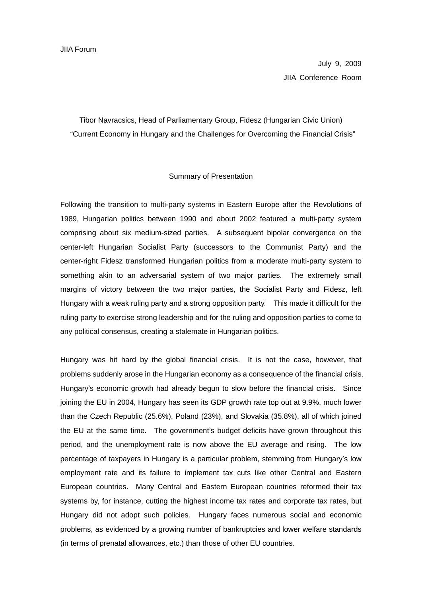July 9, 2009 JIIA Conference Room

Tibor Navracsics, Head of Parliamentary Group, Fidesz (Hungarian Civic Union) "Current Economy in Hungary and the Challenges for Overcoming the Financial Crisis"

## Summary of Presentation

Following the transition to multi-party systems in Eastern Europe after the Revolutions of 1989, Hungarian politics between 1990 and about 2002 featured a multi-party system comprising about six medium-sized parties. A subsequent bipolar convergence on the center-left Hungarian Socialist Party (successors to the Communist Party) and the center-right Fidesz transformed Hungarian politics from a moderate multi-party system to something akin to an adversarial system of two major parties. The extremely small margins of victory between the two major parties, the Socialist Party and Fidesz, left Hungary with a weak ruling party and a strong opposition party. This made it difficult for the ruling party to exercise strong leadership and for the ruling and opposition parties to come to any political consensus, creating a stalemate in Hungarian politics.

Hungary was hit hard by the global financial crisis. It is not the case, however, that problems suddenly arose in the Hungarian economy as a consequence of the financial crisis. Hungary's economic growth had already begun to slow before the financial crisis. Since joining the EU in 2004, Hungary has seen its GDP growth rate top out at 9.9%, much lower than the Czech Republic (25.6%), Poland (23%), and Slovakia (35.8%), all of which joined the EU at the same time. The government's budget deficits have grown throughout this period, and the unemployment rate is now above the EU average and rising. The low percentage of taxpayers in Hungary is a particular problem, stemming from Hungary's low employment rate and its failure to implement tax cuts like other Central and Eastern European countries. Many Central and Eastern European countries reformed their tax systems by, for instance, cutting the highest income tax rates and corporate tax rates, but Hungary did not adopt such policies. Hungary faces numerous social and economic problems, as evidenced by a growing number of bankruptcies and lower welfare standards (in terms of prenatal allowances, etc.) than those of other EU countries.